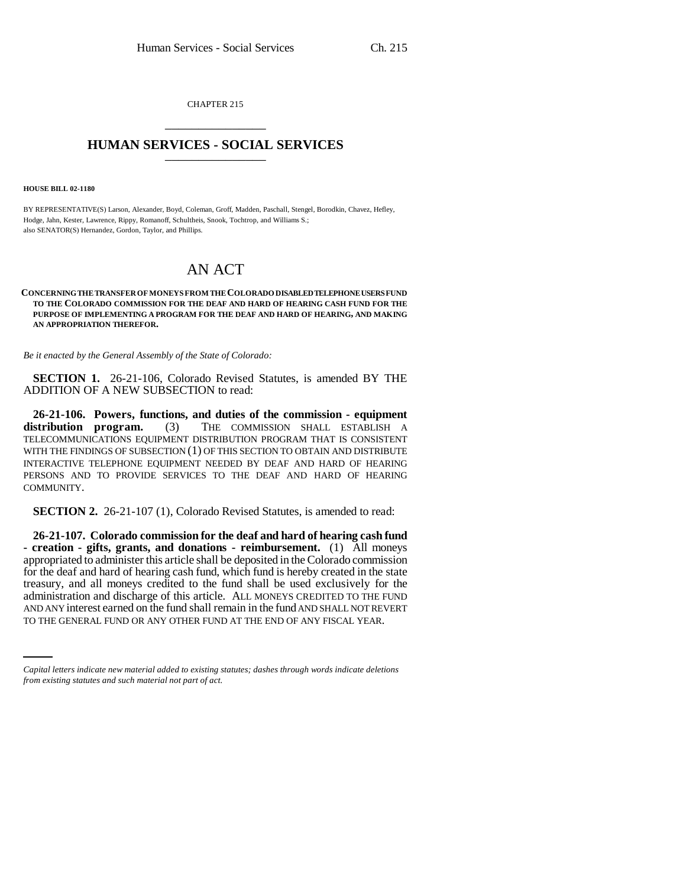CHAPTER 215 \_\_\_\_\_\_\_\_\_\_\_\_\_\_\_

## **HUMAN SERVICES - SOCIAL SERVICES** \_\_\_\_\_\_\_\_\_\_\_\_\_\_\_

**HOUSE BILL 02-1180**

BY REPRESENTATIVE(S) Larson, Alexander, Boyd, Coleman, Groff, Madden, Paschall, Stengel, Borodkin, Chavez, Hefley, Hodge, Jahn, Kester, Lawrence, Rippy, Romanoff, Schultheis, Snook, Tochtrop, and Williams S.; also SENATOR(S) Hernandez, Gordon, Taylor, and Phillips.

## AN ACT

## **CONCERNING THE TRANSFER OF MONEYS FROM THE COLORADO DISABLED TELEPHONE USERS FUND TO THE COLORADO COMMISSION FOR THE DEAF AND HARD OF HEARING CASH FUND FOR THE PURPOSE OF IMPLEMENTING A PROGRAM FOR THE DEAF AND HARD OF HEARING, AND MAKING AN APPROPRIATION THEREFOR.**

*Be it enacted by the General Assembly of the State of Colorado:*

**SECTION 1.** 26-21-106, Colorado Revised Statutes, is amended BY THE ADDITION OF A NEW SUBSECTION to read:

**26-21-106. Powers, functions, and duties of the commission - equipment distribution program.** (3) THE COMMISSION SHALL ESTABLISH A **distribution program.** (3) THE COMMISSION SHALL ESTABLISH A TELECOMMUNICATIONS EQUIPMENT DISTRIBUTION PROGRAM THAT IS CONSISTENT WITH THE FINDINGS OF SUBSECTION (1) OF THIS SECTION TO OBTAIN AND DISTRIBUTE INTERACTIVE TELEPHONE EQUIPMENT NEEDED BY DEAF AND HARD OF HEARING PERSONS AND TO PROVIDE SERVICES TO THE DEAF AND HARD OF HEARING COMMUNITY.

**SECTION 2.** 26-21-107 (1), Colorado Revised Statutes, is amended to read:

administration and discharge of this article. ALL MONEYS CREDITED TO THE FUND **26-21-107. Colorado commission for the deaf and hard of hearing cash fund - creation - gifts, grants, and donations - reimbursement.** (1) All moneys appropriated to administer this article shall be deposited in the Colorado commission for the deaf and hard of hearing cash fund, which fund is hereby created in the state treasury, and all moneys credited to the fund shall be used exclusively for the AND ANY interest earned on the fund shall remain in the fund AND SHALL NOT REVERT TO THE GENERAL FUND OR ANY OTHER FUND AT THE END OF ANY FISCAL YEAR.

*Capital letters indicate new material added to existing statutes; dashes through words indicate deletions from existing statutes and such material not part of act.*